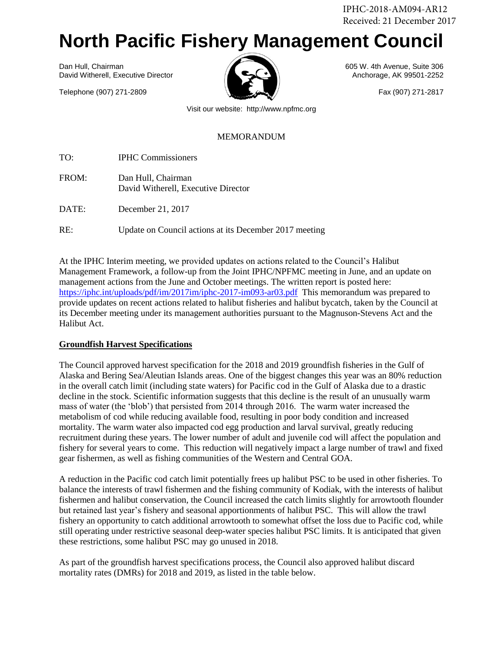IPHC-2018-AM094-AR12 Received: 21 December 2017

# **North Pacific Fishery Management Council**

Dan Hull, Chairman 605 W. 4th Avenue, Suite 306 David Witherell, Executive Director Anchorage, AK 99501-2252

Telephone (907) 271-2809 Fax (907) 271-2817



Visit our website: http://www.npfmc.org

#### MEMORANDUM

TO: IPHC Commissioners

FROM: Dan Hull, Chairman David Witherell, Executive Director

DATE: December 21, 2017

RE: Update on Council actions at its December 2017 meeting

At the IPHC Interim meeting, we provided updates on actions related to the Council's Halibut Management Framework, a follow-up from the Joint IPHC/NPFMC meeting in June, and an update on management actions from the June and October meetings. The written report is posted here: <https://iphc.int/uploads/pdf/im/2017im/iphc-2017-im093-ar03.pdf>This memorandum was prepared to provide updates on recent actions related to halibut fisheries and halibut bycatch, taken by the Council at its December meeting under its management authorities pursuant to the Magnuson-Stevens Act and the Halibut Act.

## **Groundfish Harvest Specifications**

The Council approved harvest specification for the 2018 and 2019 groundfish fisheries in the Gulf of Alaska and Bering Sea/Aleutian Islands areas. One of the biggest changes this year was an 80% reduction in the overall catch limit (including state waters) for Pacific cod in the Gulf of Alaska due to a drastic decline in the stock. Scientific information suggests that this decline is the result of an unusually warm mass of water (the 'blob') that persisted from 2014 through 2016. The warm water increased the metabolism of cod while reducing available food, resulting in poor body condition and increased mortality. The warm water also impacted cod egg production and larval survival, greatly reducing recruitment during these years. The lower number of adult and juvenile cod will affect the population and fishery for several years to come. This reduction will negatively impact a large number of trawl and fixed gear fishermen, as well as fishing communities of the Western and Central GOA.

A reduction in the Pacific cod catch limit potentially frees up halibut PSC to be used in other fisheries. To balance the interests of trawl fishermen and the fishing community of Kodiak, with the interests of halibut fishermen and halibut conservation, the Council increased the catch limits slightly for arrowtooth flounder but retained last year's fishery and seasonal apportionments of halibut PSC. This will allow the trawl fishery an opportunity to catch additional arrowtooth to somewhat offset the loss due to Pacific cod, while still operating under restrictive seasonal deep-water species halibut PSC limits. It is anticipated that given these restrictions, some halibut PSC may go unused in 2018.

As part of the groundfish harvest specifications process, the Council also approved halibut discard mortality rates (DMRs) for 2018 and 2019, as listed in the table below.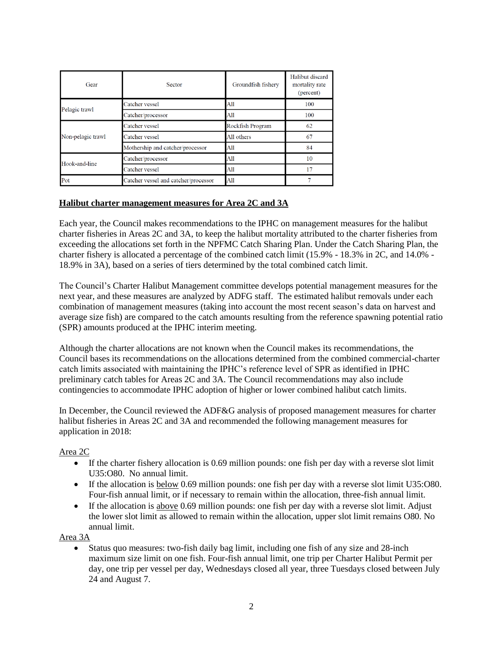| Gear              | Sector                               | Groundfish fishery | Halibut discard<br>mortality rate<br>(percent) |
|-------------------|--------------------------------------|--------------------|------------------------------------------------|
| Pelagic trawl     | Catcher vessel                       | All                | 100                                            |
|                   | Catcher/processor                    | A11                | 100                                            |
| Non-pelagic trawl | Catcher vessel                       | Rockfish Program   | 62                                             |
|                   | Catcher vessel                       | All others         | 67                                             |
|                   | Mothership and catcher/processor     | All                | 84                                             |
| Hook-and-line     | Catcher/processor                    | All                | 10                                             |
|                   | Catcher vessel                       | All                | 17                                             |
| Pot               | Catcher vessel and catcher/processor | All                |                                                |

## **Halibut charter management measures for Area 2C and 3A**

Each year, the Council makes recommendations to the IPHC on management measures for the halibut charter fisheries in Areas 2C and 3A, to keep the halibut mortality attributed to the charter fisheries from exceeding the allocations set forth in the NPFMC Catch Sharing Plan. Under the Catch Sharing Plan, the charter fishery is allocated a percentage of the combined catch limit (15.9% - 18.3% in 2C, and 14.0% - 18.9% in 3A), based on a series of tiers determined by the total combined catch limit.

The Council's Charter Halibut Management committee develops potential management measures for the next year, and these measures are analyzed by ADFG staff. The estimated halibut removals under each combination of management measures (taking into account the most recent season's data on harvest and average size fish) are compared to the catch amounts resulting from the reference spawning potential ratio (SPR) amounts produced at the IPHC interim meeting.

Although the charter allocations are not known when the Council makes its recommendations, the Council bases its recommendations on the allocations determined from the combined commercial-charter catch limits associated with maintaining the IPHC's reference level of SPR as identified in IPHC preliminary catch tables for Areas 2C and 3A. The Council recommendations may also include contingencies to accommodate IPHC adoption of higher or lower combined halibut catch limits.

In December, the Council reviewed the ADF&G analysis of proposed management measures for charter halibut fisheries in Areas 2C and 3A and recommended the following management measures for application in 2018:

## Area 2C

- If the charter fishery allocation is 0.69 million pounds: one fish per day with a reverse slot limit U35:O80. No annual limit.
- If the allocation is below 0.69 million pounds: one fish per day with a reverse slot limit U35:080. Four-fish annual limit, or if necessary to remain within the allocation, three-fish annual limit.
- If the allocation is above 0.69 million pounds: one fish per day with a reverse slot limit. Adjust the lower slot limit as allowed to remain within the allocation, upper slot limit remains O80. No annual limit.

Area 3A

• Status quo measures: two-fish daily bag limit, including one fish of any size and 28-inch maximum size limit on one fish. Four-fish annual limit, one trip per Charter Halibut Permit per day, one trip per vessel per day, Wednesdays closed all year, three Tuesdays closed between July 24 and August 7.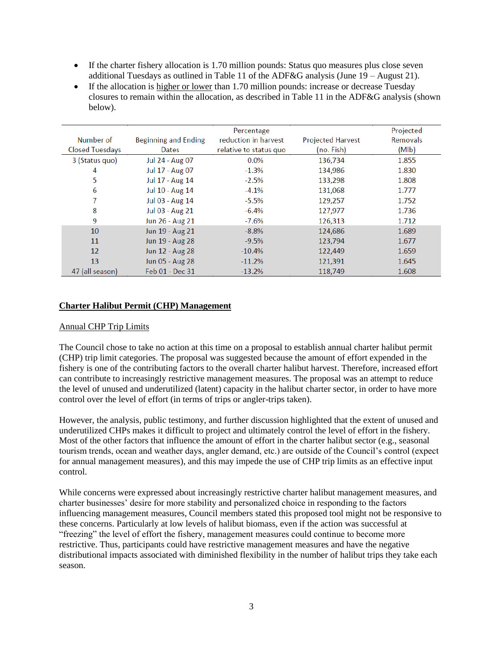- If the charter fishery allocation is 1.70 million pounds: Status quo measures plus close seven additional Tuesdays as outlined in Table 11 of the ADF&G analysis (June  $19 -$ August 21).
- If the allocation is higher or lower than 1.70 million pounds: increase or decrease Tuesday closures to remain within the allocation, as described in Table 11 in the ADF&G analysis (shown below).

|                 |                      | Percentage             |                          | Projected |
|-----------------|----------------------|------------------------|--------------------------|-----------|
| Number of       | Beginning and Ending | reduction in harvest   | <b>Projected Harvest</b> | Removals  |
| Closed Tuesdays | Dates                | relative to status quo | (no. Fish)               | (Mlb)     |
| 3 (Status quo)  | Jul 24 - Aug 07      | 0.0%                   | 136.734                  | 1.855     |
| 4               | Jul 17 - Aug 07      | $-1.3%$                | 134,986                  | 1.830     |
| 5               | Jul 17 - Aug 14      | $-2.5%$                | 133,298                  | 1.808     |
| 6               | Jul 10 - Aug 14      | $-4.1%$                | 131,068                  | 1.777     |
| 7               | Jul 03 - Aug 14      | $-5.5%$                | 129,257                  | 1.752     |
| 8               | Jul 03 - Aug 21      | $-6.4%$                | 127,977                  | 1.736     |
| 9               | Jun 26 - Aug 21      | $-7.6%$                | 126,313                  | 1.712     |
| 10              | Jun 19 - Aug 21      | $-8.8%$                | 124,686                  | 1.689     |
| 11              | Jun 19 - Aug 28      | $-9.5%$                | 123,794                  | 1.677     |
| 12              | Jun 12 - Aug 28      | $-10.4%$               | 122,449                  | 1.659     |
| 13              | Jun 05 - Aug 28      | $-11.2%$               | 121,391                  | 1.645     |
| 47 (all season) | Feb 01 - Dec 31      | $-13.2%$               | 118,749                  | 1.608     |

## **Charter Halibut Permit (CHP) Management**

#### Annual CHP Trip Limits

The Council chose to take no action at this time on a proposal to establish annual charter halibut permit (CHP) trip limit categories. The proposal was suggested because the amount of effort expended in the fishery is one of the contributing factors to the overall charter halibut harvest. Therefore, increased effort can contribute to increasingly restrictive management measures. The proposal was an attempt to reduce the level of unused and underutilized (latent) capacity in the halibut charter sector, in order to have more control over the level of effort (in terms of trips or angler-trips taken).

However, the analysis, public testimony, and further discussion highlighted that the extent of unused and underutilized CHPs makes it difficult to project and ultimately control the level of effort in the fishery. Most of the other factors that influence the amount of effort in the charter halibut sector (e.g., seasonal tourism trends, ocean and weather days, angler demand, etc.) are outside of the Council's control (expect for annual management measures), and this may impede the use of CHP trip limits as an effective input control.

While concerns were expressed about increasingly restrictive charter halibut management measures, and charter businesses' desire for more stability and personalized choice in responding to the factors influencing management measures, Council members stated this proposed tool might not be responsive to these concerns. Particularly at low levels of halibut biomass, even if the action was successful at "freezing" the level of effort the fishery, management measures could continue to become more restrictive. Thus, participants could have restrictive management measures and have the negative distributional impacts associated with diminished flexibility in the number of halibut trips they take each season.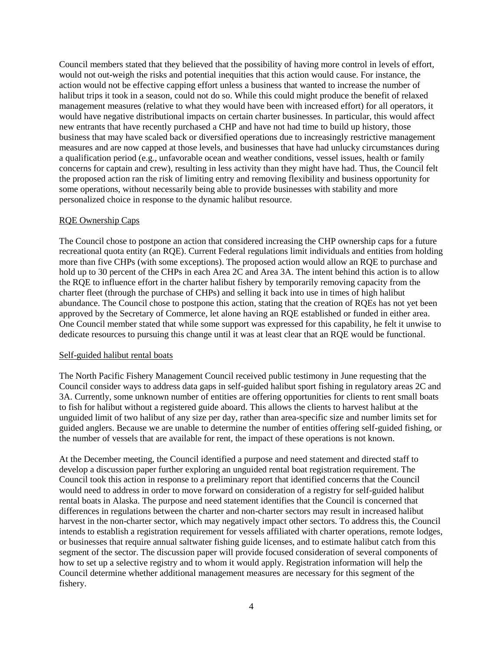Council members stated that they believed that the possibility of having more control in levels of effort, would not out-weigh the risks and potential inequities that this action would cause. For instance, the action would not be effective capping effort unless a business that wanted to increase the number of halibut trips it took in a season, could not do so. While this could might produce the benefit of relaxed management measures (relative to what they would have been with increased effort) for all operators, it would have negative distributional impacts on certain charter businesses. In particular, this would affect new entrants that have recently purchased a CHP and have not had time to build up history, those business that may have scaled back or diversified operations due to increasingly restrictive management measures and are now capped at those levels, and businesses that have had unlucky circumstances during a qualification period (e.g., unfavorable ocean and weather conditions, vessel issues, health or family concerns for captain and crew), resulting in less activity than they might have had. Thus, the Council felt the proposed action ran the risk of limiting entry and removing flexibility and business opportunity for some operations, without necessarily being able to provide businesses with stability and more personalized choice in response to the dynamic halibut resource.

## RQE Ownership Caps

The Council chose to postpone an action that considered increasing the CHP ownership caps for a future recreational quota entity (an RQE). Current Federal regulations limit individuals and entities from holding more than five CHPs (with some exceptions). The proposed action would allow an RQE to purchase and hold up to 30 percent of the CHPs in each Area 2C and Area 3A. The intent behind this action is to allow the RQE to influence effort in the charter halibut fishery by temporarily removing capacity from the charter fleet (through the purchase of CHPs) and selling it back into use in times of high halibut abundance. The Council chose to postpone this action, stating that the creation of RQEs has not yet been approved by the Secretary of Commerce, let alone having an RQE established or funded in either area. One Council member stated that while some support was expressed for this capability, he felt it unwise to dedicate resources to pursuing this change until it was at least clear that an RQE would be functional.

#### Self-guided halibut rental boats

The North Pacific Fishery Management Council received public testimony in June requesting that the Council consider ways to address data gaps in self-guided halibut sport fishing in regulatory areas 2C and 3A. Currently, some unknown number of entities are offering opportunities for clients to rent small boats to fish for halibut without a registered guide aboard. This allows the clients to harvest halibut at the unguided limit of two halibut of any size per day, rather than area-specific size and number limits set for guided anglers. Because we are unable to determine the number of entities offering self-guided fishing, or the number of vessels that are available for rent, the impact of these operations is not known.

At the December meeting, the Council identified a purpose and need statement and directed staff to develop a discussion paper further exploring an unguided rental boat registration requirement. The Council took this action in response to a preliminary report that identified concerns that the Council would need to address in order to move forward on consideration of a registry for self-guided halibut rental boats in Alaska. The purpose and need statement identifies that the Council is concerned that differences in regulations between the charter and non-charter sectors may result in increased halibut harvest in the non-charter sector, which may negatively impact other sectors. To address this, the Council intends to establish a registration requirement for vessels affiliated with charter operations, remote lodges, or businesses that require annual saltwater fishing guide licenses, and to estimate halibut catch from this segment of the sector. The discussion paper will provide focused consideration of several components of how to set up a selective registry and to whom it would apply. Registration information will help the Council determine whether additional management measures are necessary for this segment of the fishery.